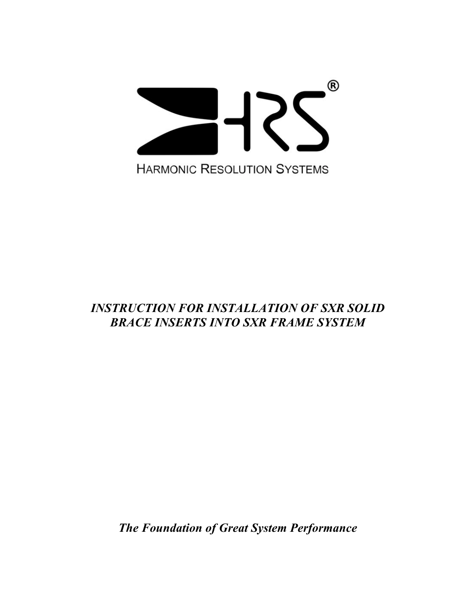

## *INSTRUCTION FOR INSTALLATION OF SXR SOLID BRACE INSERTS INTO SXR FRAME SYSTEM*

*The Foundation of Great System Performance*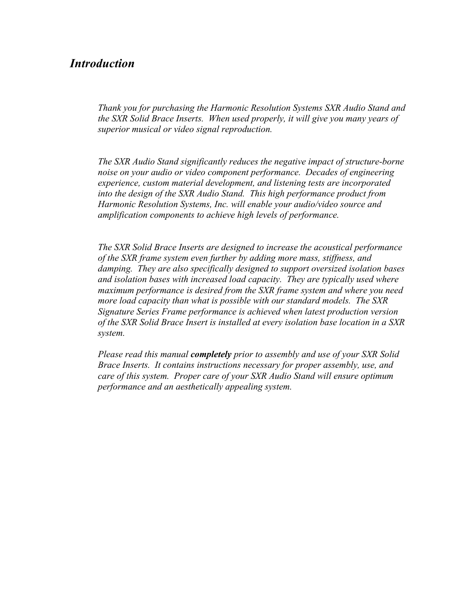### *Introduction*

*Thank you for purchasing the Harmonic Resolution Systems SXR Audio Stand and the SXR Solid Brace Inserts. When used properly, it will give you many years of superior musical or video signal reproduction.*

*The SXR Audio Stand significantly reduces the negative impact of structure-borne noise on your audio or video component performance. Decades of engineering experience, custom material development, and listening tests are incorporated into the design of the SXR Audio Stand. This high performance product from Harmonic Resolution Systems, Inc. will enable your audio/video source and amplification components to achieve high levels of performance.*

*The SXR Solid Brace Inserts are designed to increase the acoustical performance of the SXR frame system even further by adding more mass, stiffness, and damping. They are also specifically designed to support oversized isolation bases and isolation bases with increased load capacity. They are typically used where maximum performance is desired from the SXR frame system and where you need more load capacity than what is possible with our standard models. The SXR Signature Series Frame performance is achieved when latest production version of the SXR Solid Brace Insert is installed at every isolation base location in a SXR system.*

*Please read this manual completely prior to assembly and use of your SXR Solid Brace Inserts. It contains instructions necessary for proper assembly, use, and care of this system. Proper care of your SXR Audio Stand will ensure optimum performance and an aesthetically appealing system.*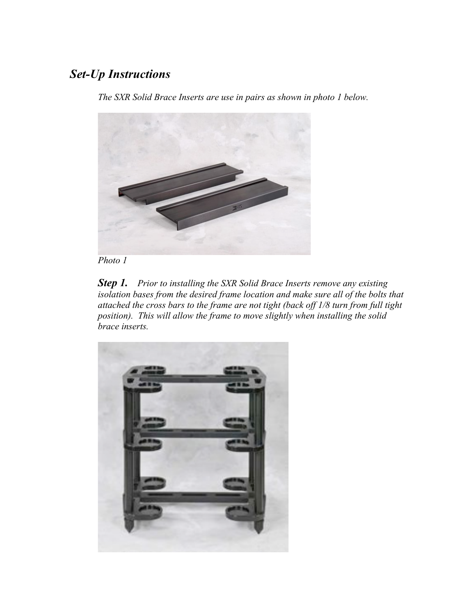# *Set-Up Instructions*

*The SXR Solid Brace Inserts are use in pairs as shown in photo 1 below.*





*Step 1. Prior to installing the SXR Solid Brace Inserts remove any existing isolation bases from the desired frame location and make sure all of the bolts that attached the cross bars to the frame are not tight (back off 1/8 turn from full tight position). This will allow the frame to move slightly when installing the solid brace inserts.*

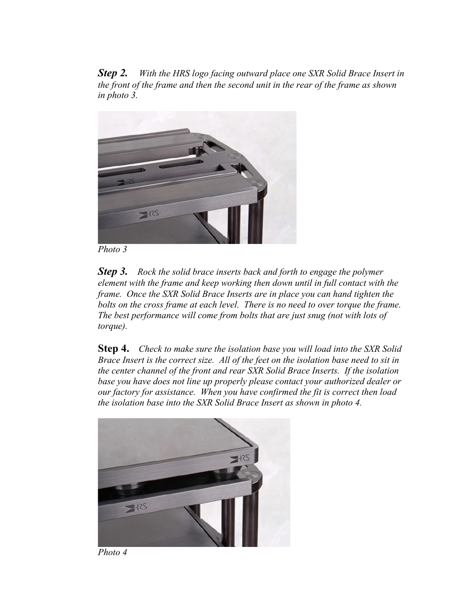*Step 2. With the HRS logo facing outward place one SXR Solid Brace Insert in the front of the frame and then the second unit in the rear of the frame as shown in photo 3.*



*Photo 3*

*Step 3. Rock the solid brace inserts back and forth to engage the polymer element with the frame and keep working then down until in full contact with the frame. Once the SXR Solid Brace Inserts are in place you can hand tighten the bolts on the cross frame at each level. There is no need to over torque the frame. The best performance will come from bolts that are just snug (not with lots of torque).*

**Step 4.** *Check to make sure the isolation base you will load into the SXR Solid Brace Insert is the correct size. All of the feet on the isolation base need to sit in the center channel of the front and rear SXR Solid Brace Inserts. If the isolation base you have does not line up properly please contact your authorized dealer or our factory for assistance. When you have confirmed the fit is correct then load the isolation base into the SXR Solid Brace Insert as shown in photo 4.*



*Photo 4*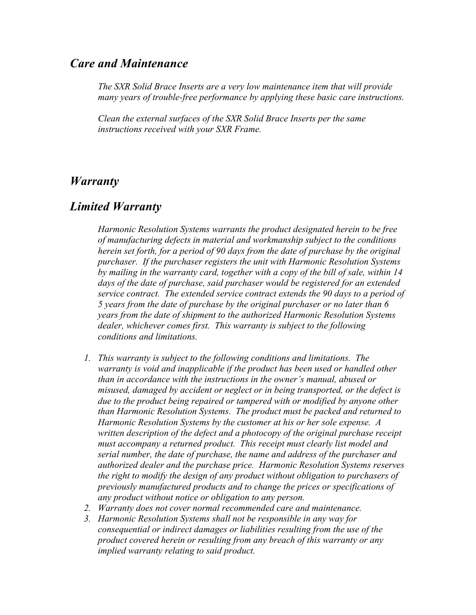#### *Care and Maintenance*

*The SXR Solid Brace Inserts are a very low maintenance item that will provide many years of trouble-free performance by applying these basic care instructions.*

*Clean the external surfaces of the SXR Solid Brace Inserts per the same instructions received with your SXR Frame.* 

#### *Warranty*

### *Limited Warranty*

*Harmonic Resolution Systems warrants the product designated herein to be free of manufacturing defects in material and workmanship subject to the conditions herein set forth, for a period of 90 days from the date of purchase by the original purchaser. If the purchaser registers the unit with Harmonic Resolution Systems by mailing in the warranty card, together with a copy of the bill of sale, within 14 days of the date of purchase, said purchaser would be registered for an extended service contract. The extended service contract extends the 90 days to a period of 5 years from the date of purchase by the original purchaser or no later than 6 years from the date of shipment to the authorized Harmonic Resolution Systems dealer, whichever comes first. This warranty is subject to the following conditions and limitations.*

- *1. This warranty is subject to the following conditions and limitations. The warranty is void and inapplicable if the product has been used or handled other than in accordance with the instructions in the owner's manual, abused or misused, damaged by accident or neglect or in being transported, or the defect is due to the product being repaired or tampered with or modified by anyone other than Harmonic Resolution Systems. The product must be packed and returned to Harmonic Resolution Systems by the customer at his or her sole expense. A written description of the defect and a photocopy of the original purchase receipt must accompany a returned product. This receipt must clearly list model and serial number, the date of purchase, the name and address of the purchaser and authorized dealer and the purchase price. Harmonic Resolution Systems reserves the right to modify the design of any product without obligation to purchasers of previously manufactured products and to change the prices or specifications of any product without notice or obligation to any person.*
- *2. Warranty does not cover normal recommended care and maintenance.*
- *3. Harmonic Resolution Systems shall not be responsible in any way for consequential or indirect damages or liabilities resulting from the use of the product covered herein or resulting from any breach of this warranty or any implied warranty relating to said product.*